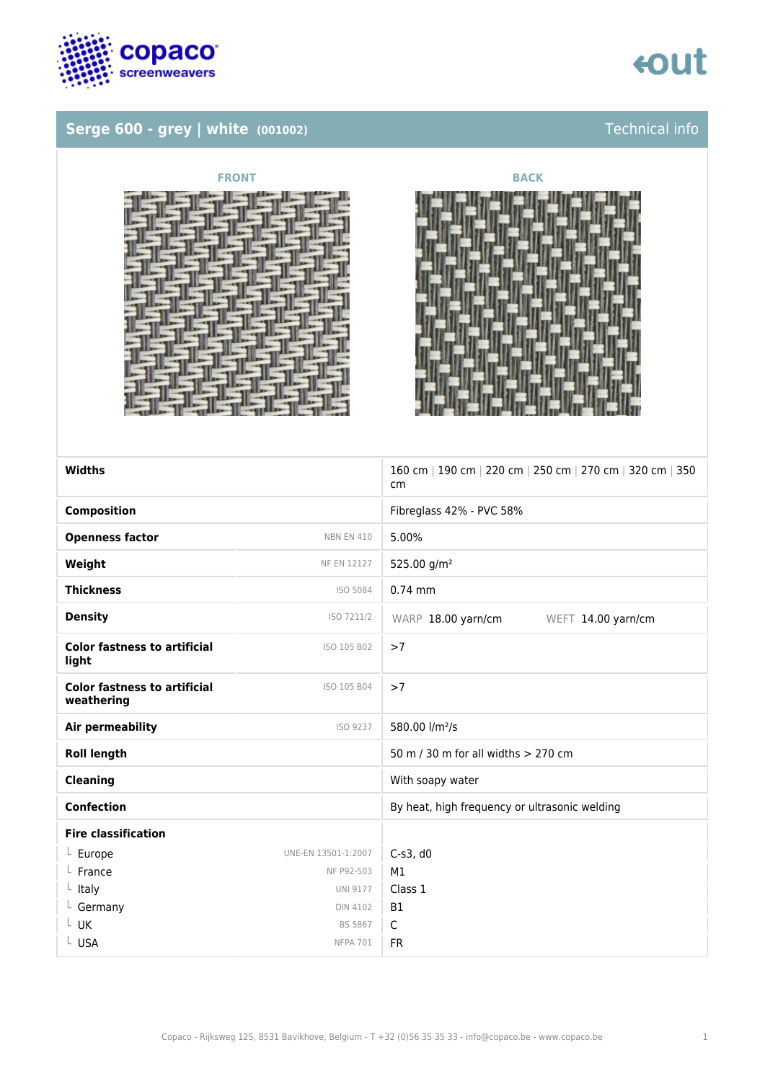

### **Serge 600 - grey | white (001002)** Technical info







| Widths                                            |                     | 160 cm   190 cm   220 cm   250 cm   270 cm   320 cm   350<br>cm |
|---------------------------------------------------|---------------------|-----------------------------------------------------------------|
| <b>Composition</b>                                |                     | Fibreglass 42% - PVC 58%                                        |
| <b>Openness factor</b>                            | <b>NBN EN 410</b>   | 5.00%                                                           |
| Weight                                            | <b>NF EN 12127</b>  | 525.00 g/m <sup>2</sup>                                         |
| <b>Thickness</b>                                  | ISO 5084            | $0.74$ mm                                                       |
| <b>Density</b>                                    | ISO 7211/2          | WARP 18.00 yarn/cm<br>WEFT 14.00 yarn/cm                        |
| <b>Color fastness to artificial</b><br>light      | ISO 105 B02         | >7                                                              |
| <b>Color fastness to artificial</b><br>weathering | ISO 105 B04         | >7                                                              |
| Air permeability                                  | ISO 9237            | 580.00 l/m <sup>2</sup> /s                                      |
| <b>Roll length</b>                                |                     | 50 m / 30 m for all widths > 270 cm                             |
| <b>Cleaning</b>                                   |                     | With soapy water                                                |
| <b>Confection</b>                                 |                     | By heat, high frequency or ultrasonic welding                   |
| <b>Fire classification</b>                        |                     |                                                                 |
| $L$ Europe                                        | UNE-EN 13501-1:2007 | $C-S3$ , d $0$                                                  |
| France                                            | NF P92-503          | M1                                                              |
| Italy                                             | <b>UNI 9177</b>     | Class 1                                                         |
| L Germany                                         | <b>DIN 4102</b>     | <b>B1</b>                                                       |
| $L$ UK                                            | <b>BS 5867</b>      | C                                                               |
| L USA                                             | <b>NFPA 701</b>     | FR.                                                             |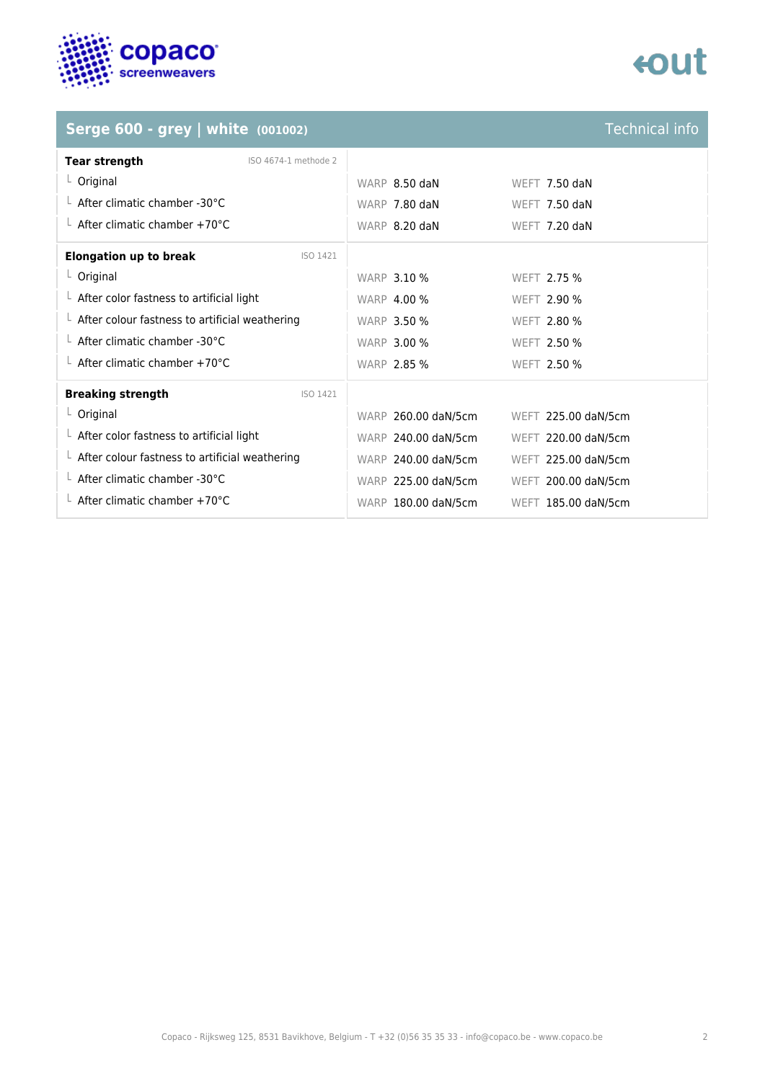

## **tout**

## **Serge 600 - grey | white (001002)**

| <b>Technical info</b> |  |
|-----------------------|--|
|                       |  |
|                       |  |
|                       |  |

| <b>Tear strength</b><br>ISO 4674-1 methode 2           |                     |                     |
|--------------------------------------------------------|---------------------|---------------------|
| $L$ Original                                           | WARP 8.50 daN       | WEFT 7.50 daN       |
| $\perp$ After climatic chamber -30°C                   | WARP 7.80 daN       | WEFT 7.50 daN       |
| $\perp$ After climatic chamber +70°C                   | WARP 8.20 daN       | WEFT 7.20 daN       |
| <b>Elongation up to break</b><br>ISO 1421              |                     |                     |
| $L$ Original                                           | <b>WARP 3.10 %</b>  | WEFT 2.75 %         |
| $\perp$ After color fastness to artificial light       | <b>WARP 4.00 %</b>  | <b>WEFT 2.90 %</b>  |
| $\perp$ After colour fastness to artificial weathering | <b>WARP 3.50 %</b>  | WEFT 2.80 %         |
| $\perp$ After climatic chamber -30°C                   | <b>WARP 3.00 %</b>  | WEFT 2.50 %         |
| $\perp$ After climatic chamber +70°C                   | <b>WARP 2.85 %</b>  | WEFT 2.50 %         |
| <b>Breaking strength</b><br>ISO 1421                   |                     |                     |
| $L$ Original                                           | WARP 260.00 daN/5cm | WEFT 225.00 daN/5cm |
| $\perp$ After color fastness to artificial light       | WARP 240.00 daN/5cm | WEFT 220.00 daN/5cm |
| $\perp$ After colour fastness to artificial weathering | WARP 240.00 daN/5cm | WEFT 225.00 daN/5cm |
| $\perp$ After climatic chamber -30°C                   | WARP 225.00 daN/5cm | WEFT 200.00 daN/5cm |
| $\perp$ After climatic chamber +70°C                   | WARP 180.00 daN/5cm | WEFT 185.00 daN/5cm |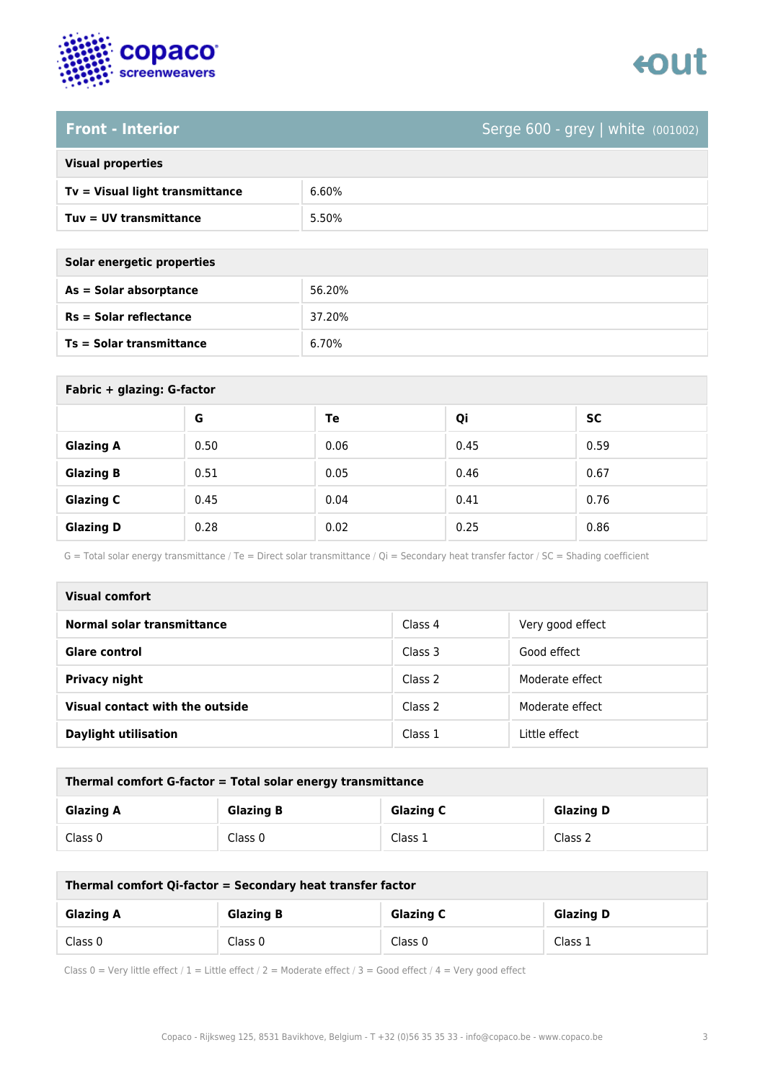

### **Front - Interior** Serge 600 - grey | white (001002)

| <b>Visual properties</b> |  |
|--------------------------|--|
|                          |  |

| Tv = Visual light transmittance | 6.60% |
|---------------------------------|-------|
| Tuv = UV transmittance          | 5.50% |

| Solar energetic properties |        |
|----------------------------|--------|
| As = Solar absorptance     | 56.20% |
| $Rs = Solar$ reflectance   | 37.20% |
| Ts = Solar transmittance   | 6.70%  |

| Fabric + glazing: G-factor |      |      |      |           |
|----------------------------|------|------|------|-----------|
|                            | G    | Te   | Qi   | <b>SC</b> |
| <b>Glazing A</b>           | 0.50 | 0.06 | 0.45 | 0.59      |
| <b>Glazing B</b>           | 0.51 | 0.05 | 0.46 | 0.67      |
| <b>Glazing C</b>           | 0.45 | 0.04 | 0.41 | 0.76      |
| <b>Glazing D</b>           | 0.28 | 0.02 | 0.25 | 0.86      |

G = Total solar energy transmittance / Te = Direct solar transmittance / Qi = Secondary heat transfer factor / SC = Shading coefficient

| Visual comfort                  |         |                  |
|---------------------------------|---------|------------------|
| Normal solar transmittance      | Class 4 | Very good effect |
| <b>Glare control</b>            | Class 3 | Good effect      |
| Privacy night                   | Class 2 | Moderate effect  |
| Visual contact with the outside | Class 2 | Moderate effect  |
| <b>Daylight utilisation</b>     | Class 1 | Little effect    |

| Thermal comfort G-factor = Total solar energy transmittance |                  |                  |                  |
|-------------------------------------------------------------|------------------|------------------|------------------|
| <b>Glazing A</b>                                            | <b>Glazing B</b> | <b>Glazing C</b> | <b>Glazing D</b> |
| Class 0                                                     | Class 0          | Class 1          | Class 2          |

| Thermal comfort Qi-factor = Secondary heat transfer factor |                  |                  |                  |
|------------------------------------------------------------|------------------|------------------|------------------|
| <b>Glazing A</b>                                           | <b>Glazing B</b> | <b>Glazing C</b> | <b>Glazing D</b> |
| Class 0                                                    | Class 0          | Class 0          | Class 1          |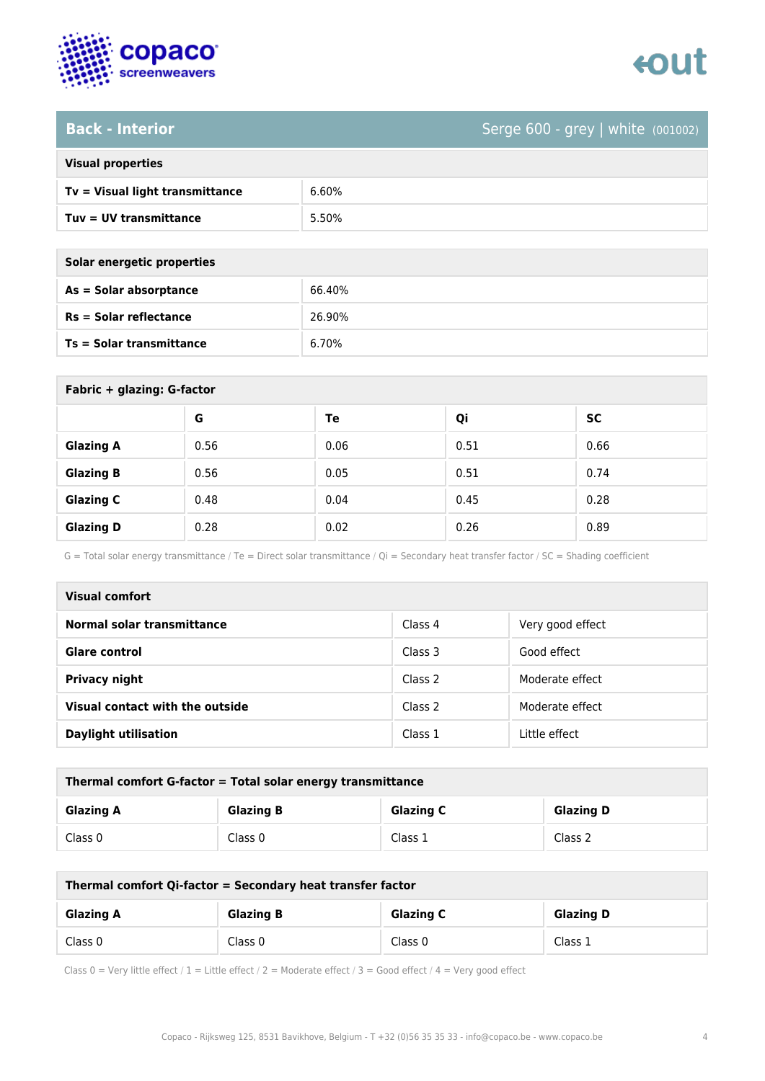

### **Back - Interior** Serge 600 - grey | white (001002)

| <b>Visual properties</b> |  |
|--------------------------|--|
|                          |  |

| Tv = Visual light transmittance | 6.60% |
|---------------------------------|-------|
| Tuy = UV transmittance          | 5.50% |

**As = Solar absorptance** 66.40%

**Rs = Solar reflectance** 26.90%

**Ts = Solar transmittance** 6.70%

| Solar energetic properties      |  |
|---------------------------------|--|
| As = Solar absorptance          |  |
| $Rs = Solar$ reflectance        |  |
| <b>Ts = Solar transmittance</b> |  |

| Fabric + glazing: G-factor |      |      |      |           |
|----------------------------|------|------|------|-----------|
|                            | G    | Te   | Qi   | <b>SC</b> |
| <b>Glazing A</b>           | 0.56 | 0.06 | 0.51 | 0.66      |
| <b>Glazing B</b>           | 0.56 | 0.05 | 0.51 | 0.74      |
| <b>Glazing C</b>           | 0.48 | 0.04 | 0.45 | 0.28      |
| <b>Glazing D</b>           | 0.28 | 0.02 | 0.26 | 0.89      |

G = Total solar energy transmittance / Te = Direct solar transmittance / Qi = Secondary heat transfer factor / SC = Shading coefficient

| Visual comfort                  |         |                  |
|---------------------------------|---------|------------------|
| Normal solar transmittance      | Class 4 | Very good effect |
| <b>Glare control</b>            | Class 3 | Good effect      |
| <b>Privacy night</b>            | Class 2 | Moderate effect  |
| Visual contact with the outside | Class 2 | Moderate effect  |
| <b>Daylight utilisation</b>     | Class 1 | Little effect    |

| Thermal comfort G-factor = Total solar energy transmittance |                  |                  |                  |
|-------------------------------------------------------------|------------------|------------------|------------------|
| <b>Glazing A</b>                                            | <b>Glazing B</b> | <b>Glazing C</b> | <b>Glazing D</b> |
| Class 0                                                     | Class 0          | Class 1          | Class 2          |

| Thermal comfort Qi-factor = Secondary heat transfer factor |                  |                  |                  |
|------------------------------------------------------------|------------------|------------------|------------------|
| <b>Glazing A</b>                                           | <b>Glazing B</b> | <b>Glazing C</b> | <b>Glazing D</b> |
| Class 0                                                    | Class 0          | Class 0          | Class 1          |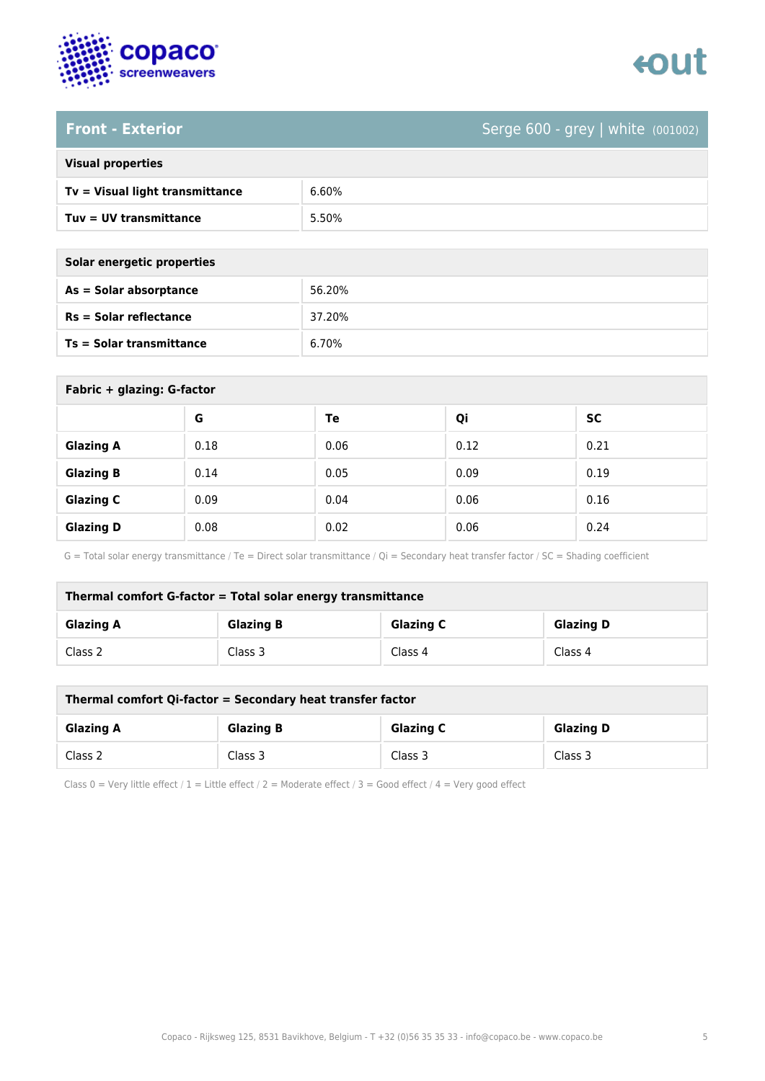

# enut

### **Front - Exterior** Serge 600 - grey | white (001002)

|  | <b>Visual properties</b> |
|--|--------------------------|
|  |                          |

| Tv = Visual light transmittance | 6.60% |
|---------------------------------|-------|
| Tuv = UV transmittance          | 5.50% |

**As = Solar absorptance** 56.20%

**Rs = Solar reflectance** 37.20%

**Ts = Solar transmittance** 6.70%

| Solar energetic properties      |  |
|---------------------------------|--|
| As = Solar absorptance          |  |
| $Rs = Solar$ reflectance        |  |
| <b>Ts = Solar transmittance</b> |  |

| Fabric + glazing: G-factor |      |      |      |           |
|----------------------------|------|------|------|-----------|
|                            | G    | Te   | Qi   | <b>SC</b> |
| <b>Glazing A</b>           | 0.18 | 0.06 | 0.12 | 0.21      |
| <b>Glazing B</b>           | 0.14 | 0.05 | 0.09 | 0.19      |
| <b>Glazing C</b>           | 0.09 | 0.04 | 0.06 | 0.16      |
| <b>Glazing D</b>           | 0.08 | 0.02 | 0.06 | 0.24      |

G = Total solar energy transmittance / Te = Direct solar transmittance / Qi = Secondary heat transfer factor / SC = Shading coefficient

| Thermal comfort G-factor = Total solar energy transmittance |                  |                  |                  |
|-------------------------------------------------------------|------------------|------------------|------------------|
| <b>Glazing A</b>                                            | <b>Glazing B</b> | <b>Glazing C</b> | <b>Glazing D</b> |
| Class 2                                                     | Class 3          | Class 4          | Class 4          |

| Thermal comfort Qi-factor = Secondary heat transfer factor |                  |                  |                  |
|------------------------------------------------------------|------------------|------------------|------------------|
| <b>Glazing A</b>                                           | <b>Glazing B</b> | <b>Glazing C</b> | <b>Glazing D</b> |
| Class 2                                                    | Class 3          | Class 3          | Class 3          |